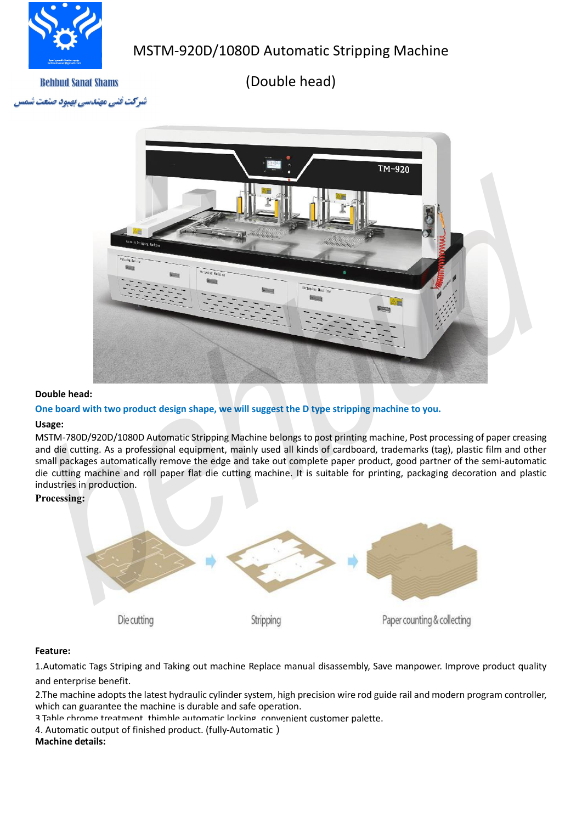

# MSTM-920D/1080D Automatic Stripping Machine

(Double head)

**Behbud Sanat Shams** نسرکت فنی مهندسی بهبود صا



### **Double head:**

## **One board with two product design shape, we will suggest the D type stripping machine to you.**

### **Usage:**

MSTM-780D/920D/1080D Automatic Stripping Machine belongs to post printing machine, Post processing of paper creasing and die cutting. As a professional equipment, mainly used all kinds of cardboard, trademarks (tag), plastic film and other small packages automatically remove the edge and take out complete paper product, good partner of the semi-automatic die cutting machine and roll paper flat die cutting machine. It is suitable for printing, packaging decoration and plastic industries in production.

## **Processing:**



# **Feature:**

1.Automatic Tags Striping and Taking out machine Replace manual disassembly, Save manpower. Improve product quality and enterprise benefit.

2.The machine adopts the latest hydraulic cylinder system, high precision wire rod guide rail and modern program controller, which can guarantee the machine is durable and safe operation.

3.Table chrome treatment, thimble automatic locking, convenient customer palette.

4. Automatic output of finished product. (fully-Automatic)

### **Machine details:**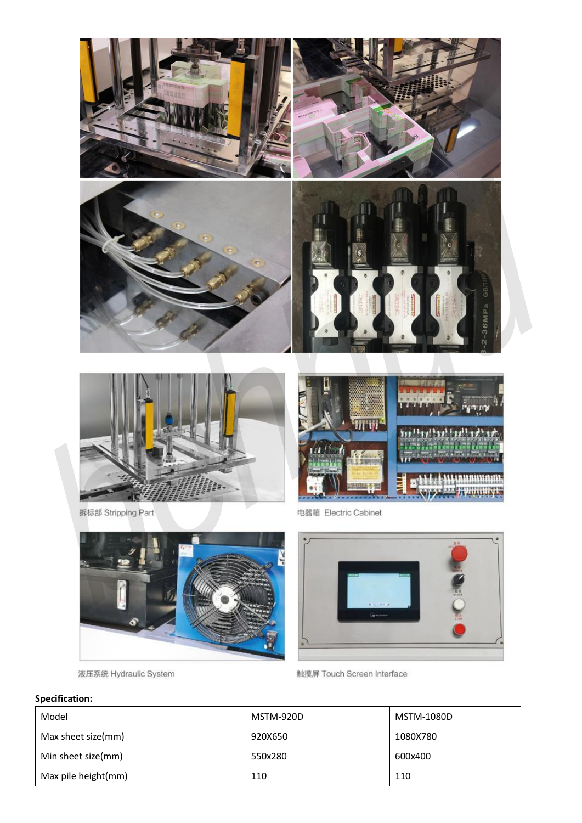



液压系统 Hydraulic System



触摸屏 Touch Screen Interface

# **Specification:**

| Model               | MSTM-920D | MSTM-1080D |
|---------------------|-----------|------------|
| Max sheet size(mm)  | 920X650   | 1080X780   |
| Min sheet size(mm)  | 550x280   | 600x400    |
| Max pile height(mm) | 110       | 110        |